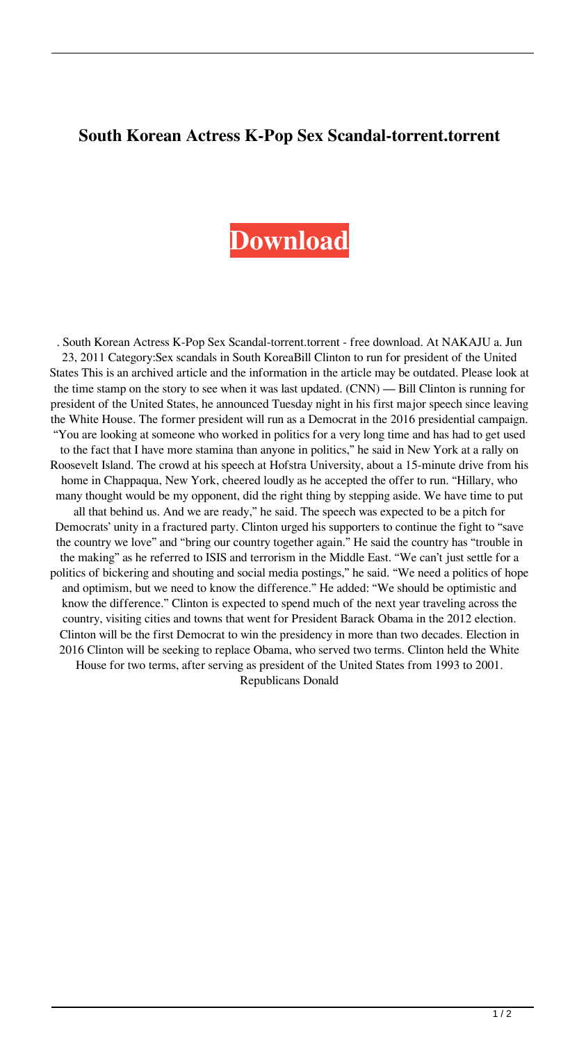## **South Korean Actress K-Pop Sex Scandal-torrent.torrent**

## **[Download](http://evacdir.com/uninitiated.U291dGggS29yZWFuIGFjdHJlc3MgSy1Qb3AgU2V4IFNjYW5kYWwtdG9ycmVudC50b3JyZW50U29?cardborad.dipyridamole.arcanum.eyedroppers.ZG93bmxvYWR8VnkwTVhNNU0zeDhNVFkxTWpjME1EZzJObng4TWpVM05IeDhLRTBwSUhKbFlXUXRZbXh2WnlCYlJtRnpkQ0JIUlU1ZA)**

. South Korean Actress K-Pop Sex Scandal-torrent.torrent - free download. At NAKAJU a. Jun 23, 2011 Category:Sex scandals in South KoreaBill Clinton to run for president of the United States This is an archived article and the information in the article may be outdated. Please look at the time stamp on the story to see when it was last updated. (CNN) — Bill Clinton is running for president of the United States, he announced Tuesday night in his first major speech since leaving the White House. The former president will run as a Democrat in the 2016 presidential campaign. "You are looking at someone who worked in politics for a very long time and has had to get used to the fact that I have more stamina than anyone in politics," he said in New York at a rally on Roosevelt Island. The crowd at his speech at Hofstra University, about a 15-minute drive from his home in Chappaqua, New York, cheered loudly as he accepted the offer to run. "Hillary, who many thought would be my opponent, did the right thing by stepping aside. We have time to put all that behind us. And we are ready," he said. The speech was expected to be a pitch for Democrats' unity in a fractured party. Clinton urged his supporters to continue the fight to "save the country we love" and "bring our country together again." He said the country has "trouble in the making" as he referred to ISIS and terrorism in the Middle East. "We can't just settle for a politics of bickering and shouting and social media postings," he said. "We need a politics of hope and optimism, but we need to know the difference." He added: "We should be optimistic and know the difference." Clinton is expected to spend much of the next year traveling across the country, visiting cities and towns that went for President Barack Obama in the 2012 election. Clinton will be the first Democrat to win the presidency in more than two decades. Election in 2016 Clinton will be seeking to replace Obama, who served two terms. Clinton held the White House for two terms, after serving as president of the United States from 1993 to 2001. Republicans Donald